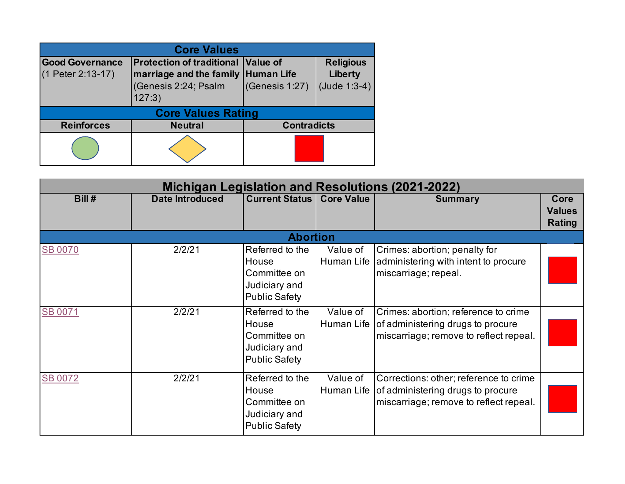| <b>Core Values</b>                            |                                                                                                                          |                    |                                               |  |  |  |  |
|-----------------------------------------------|--------------------------------------------------------------------------------------------------------------------------|--------------------|-----------------------------------------------|--|--|--|--|
| <b>Good Governance</b><br>$(1$ Peter 2:13-17) | <b>Protection of traditional Value of</b><br><b>marriage and the family Human Life</b><br>(Genesis 2:24; Psalm<br>127:3) | (Genesis 1:27)     | <b>Religious</b><br>Liberty<br>$(Jude 1:3-4)$ |  |  |  |  |
|                                               | <b>Core Values Rating</b>                                                                                                |                    |                                               |  |  |  |  |
| <b>Reinforces</b>                             | <b>Neutral</b>                                                                                                           | <b>Contradicts</b> |                                               |  |  |  |  |
|                                               |                                                                                                                          |                    |                                               |  |  |  |  |

|                |                        |                                                                                   | <b>Michigan Legislation and Resolutions (2021-2022)</b> |                                                                                                                       |                                        |  |  |  |  |
|----------------|------------------------|-----------------------------------------------------------------------------------|---------------------------------------------------------|-----------------------------------------------------------------------------------------------------------------------|----------------------------------------|--|--|--|--|
| Bill #         | <b>Date Introduced</b> | <b>Current Status</b>                                                             | <b>Core Value</b>                                       | <b>Summary</b>                                                                                                        | Core<br><b>Values</b><br><b>Rating</b> |  |  |  |  |
|                |                        | <b>Abortion</b>                                                                   |                                                         |                                                                                                                       |                                        |  |  |  |  |
| <b>SB 0070</b> | 2/2/21                 | Referred to the<br>House<br>Committee on<br>Judiciary and<br><b>Public Safety</b> | Value of<br>Human Life                                  | Crimes: abortion; penalty for<br>administering with intent to procure<br>miscarriage; repeal.                         |                                        |  |  |  |  |
| <b>SB 0071</b> | 2/2/21                 | Referred to the<br>House<br>Committee on<br>Judiciary and<br><b>Public Safety</b> | Value of<br>Human Life                                  | Crimes: abortion; reference to crime<br>of administering drugs to procure<br>miscarriage; remove to reflect repeal.   |                                        |  |  |  |  |
| <b>SB 0072</b> | 2/2/21                 | Referred to the<br>House<br>Committee on<br>Judiciary and<br><b>Public Safety</b> | Value of<br>Human Life                                  | Corrections: other; reference to crime<br>of administering drugs to procure<br>miscarriage; remove to reflect repeal. |                                        |  |  |  |  |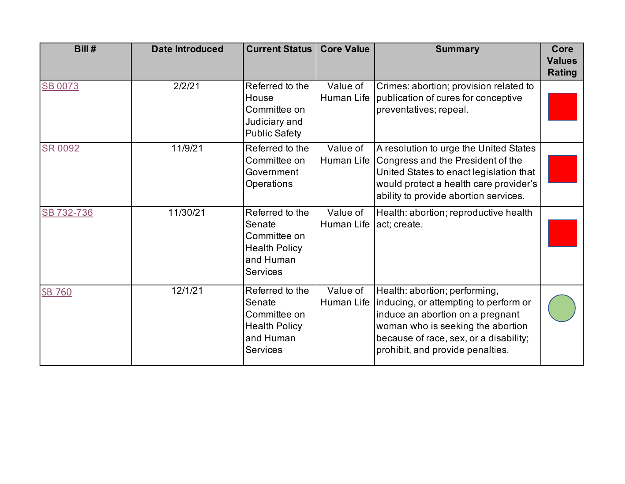| Bill#          | <b>Date Introduced</b> | <b>Current Status</b>                                                                             | <b>Core Value</b>      | <b>Summary</b>                                                                                                                                                                                                                | Core<br><b>Values</b><br><b>Rating</b> |
|----------------|------------------------|---------------------------------------------------------------------------------------------------|------------------------|-------------------------------------------------------------------------------------------------------------------------------------------------------------------------------------------------------------------------------|----------------------------------------|
| <b>SB 0073</b> | 2/2/21                 | Referred to the<br>House<br>Committee on<br>Judiciary and<br><b>Public Safety</b>                 | Value of<br>Human Life | Crimes: abortion; provision related to<br>publication of cures for conceptive<br>preventatives; repeal.                                                                                                                       |                                        |
| <b>SR 0092</b> | 11/9/21                | Referred to the<br>Committee on<br>Government<br>Operations                                       | Value of<br>Human Life | A resolution to urge the United States<br>Congress and the President of the<br>United States to enact legislation that<br>would protect a health care provider's<br>ability to provide abortion services.                     |                                        |
| SB 732-736     | 11/30/21               | Referred to the<br>Senate<br>Committee on<br><b>Health Policy</b><br>and Human<br><b>Services</b> | Value of<br>Human Life | Health: abortion; reproductive health<br>act; create.                                                                                                                                                                         |                                        |
| <b>SB 760</b>  | 12/1/21                | Referred to the<br>Senate<br>Committee on<br><b>Health Policy</b><br>and Human<br><b>Services</b> | Value of<br>Human Life | Health: abortion; performing,<br>inducing, or attempting to perform or<br>induce an abortion on a pregnant<br>woman who is seeking the abortion<br>because of race, sex, or a disability;<br>prohibit, and provide penalties. |                                        |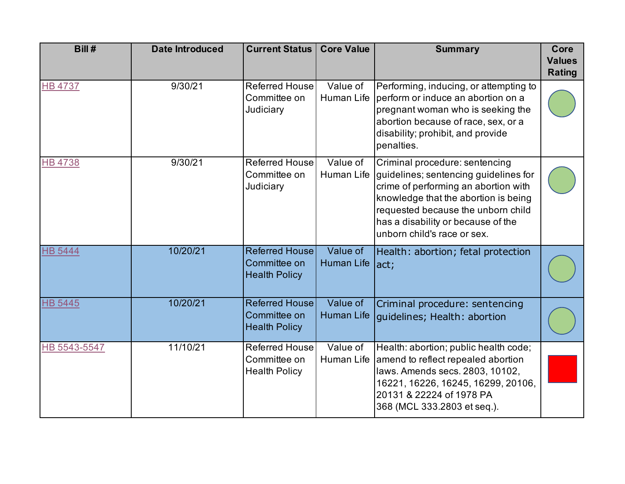| Bill#          | <b>Date Introduced</b> | <b>Current Status</b>                                         | <b>Core Value</b>             | <b>Summary</b>                                                                                                                                                                                                                                                     | Core<br><b>Values</b><br><b>Rating</b> |
|----------------|------------------------|---------------------------------------------------------------|-------------------------------|--------------------------------------------------------------------------------------------------------------------------------------------------------------------------------------------------------------------------------------------------------------------|----------------------------------------|
| <b>HB 4737</b> | 9/30/21                | <b>Referred House</b><br>Committee on<br>Judiciary            | Value of<br><b>Human Life</b> | Performing, inducing, or attempting to<br>perform or induce an abortion on a<br>pregnant woman who is seeking the<br>abortion because of race, sex, or a<br>disability; prohibit, and provide<br>penalties.                                                        |                                        |
| <b>HB4738</b>  | 9/30/21                | <b>Referred House</b><br>Committee on<br>Judiciary            | Value of<br>Human Life        | Criminal procedure: sentencing<br>guidelines; sentencing guidelines for<br>crime of performing an abortion with<br>knowledge that the abortion is being<br>requested because the unborn child<br>has a disability or because of the<br>unborn child's race or sex. |                                        |
| <b>HB 5444</b> | 10/20/21               | <b>Referred House</b><br>Committee on<br><b>Health Policy</b> | Value of<br>Human Life        | Health: abortion; fetal protection<br>lact;                                                                                                                                                                                                                        |                                        |
| <b>HB 5445</b> | 10/20/21               | <b>Referred House</b><br>Committee on<br><b>Health Policy</b> | Value of<br><b>Human Life</b> | Criminal procedure: sentencing<br>guidelines; Health: abortion                                                                                                                                                                                                     |                                        |
| HB 5543-5547   | 11/10/21               | <b>Referred House</b><br>Committee on<br><b>Health Policy</b> | Value of<br>Human Life        | Health: abortion; public health code;<br>amend to reflect repealed abortion<br>laws. Amends secs. 2803, 10102,<br>16221, 16226, 16245, 16299, 20106,<br>20131 & 22224 of 1978 PA<br>368 (MCL 333.2803 et seq.).                                                    |                                        |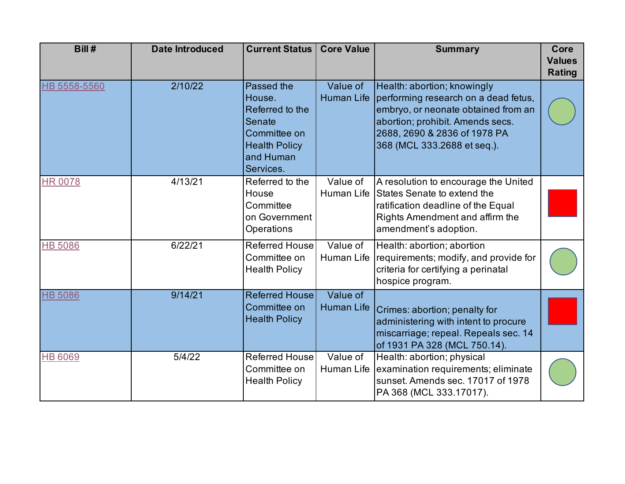| Bill#          | <b>Date Introduced</b> | <b>Current Status</b>                                                                                               | <b>Core Value</b>             | <b>Summary</b>                                                                                                                                                                                                | Core<br><b>Values</b><br><b>Rating</b> |
|----------------|------------------------|---------------------------------------------------------------------------------------------------------------------|-------------------------------|---------------------------------------------------------------------------------------------------------------------------------------------------------------------------------------------------------------|----------------------------------------|
| HB 5558-5560   | 2/10/22                | Passed the<br>House.<br>Referred to the<br>Senate<br>Committee on<br><b>Health Policy</b><br>and Human<br>Services. | Value of<br><b>Human Life</b> | Health: abortion; knowingly<br>performing research on a dead fetus,<br>embryo, or neonate obtained from an<br>abortion; prohibit. Amends secs.<br>2688, 2690 & 2836 of 1978 PA<br>368 (MCL 333.2688 et seq.). |                                        |
| <b>HR 0078</b> | 4/13/21                | Referred to the<br>House<br>Committee<br>on Government<br>Operations                                                | Value of                      | A resolution to encourage the United<br>Human Life States Senate to extend the<br>ratification deadline of the Equal<br>Rights Amendment and affirm the<br>amendment's adoption.                              |                                        |
| <b>HB 5086</b> | 6/22/21                | <b>Referred House</b><br>Committee on<br><b>Health Policy</b>                                                       | Value of<br>Human Life        | Health: abortion; abortion<br>requirements; modify, and provide for<br>criteria for certifying a perinatal<br>hospice program.                                                                                |                                        |
| <b>HB 5086</b> | 9/14/21                | <b>Referred House</b><br>Committee on<br><b>Health Policy</b>                                                       | Value of<br><b>Human Life</b> | Crimes: abortion; penalty for<br>administering with intent to procure<br>miscarriage; repeal. Repeals sec. 14<br>of 1931 PA 328 (MCL 750.14).                                                                 |                                        |
| <b>HB 6069</b> | 5/4/22                 | <b>Referred House</b><br>Committee on<br><b>Health Policy</b>                                                       | Value of<br>Human Life        | Health: abortion; physical<br>examination requirements; eliminate<br>sunset. Amends sec. 17017 of 1978<br>PA 368 (MCL 333.17017).                                                                             |                                        |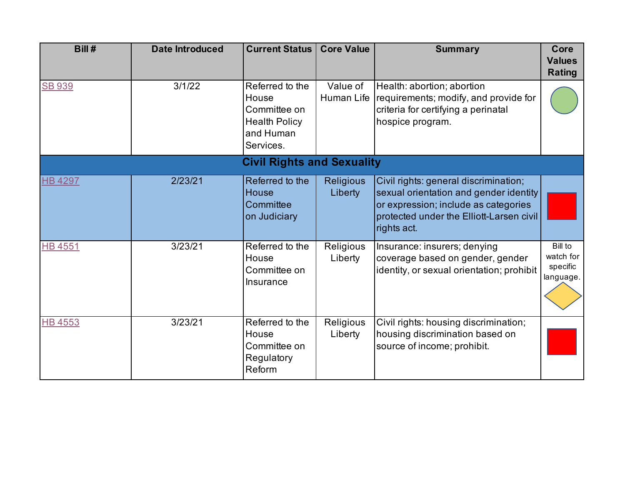| Bill#          | <b>Date Introduced</b> | <b>Current Status</b>                                                                      | <b>Core Value</b>           | <b>Summary</b>                                                                                                                                                                     | Core<br><b>Values</b><br><b>Rating</b>               |
|----------------|------------------------|--------------------------------------------------------------------------------------------|-----------------------------|------------------------------------------------------------------------------------------------------------------------------------------------------------------------------------|------------------------------------------------------|
| <b>SB 939</b>  | 3/1/22                 | Referred to the<br>House<br>Committee on<br><b>Health Policy</b><br>and Human<br>Services. | Value of<br>Human Life      | Health: abortion; abortion<br>requirements; modify, and provide for<br>criteria for certifying a perinatal<br>hospice program.                                                     |                                                      |
|                |                        | <b>Civil Rights and Sexuality</b>                                                          |                             |                                                                                                                                                                                    |                                                      |
| <b>HB 4297</b> | 2/23/21                | Referred to the<br><b>House</b><br>Committee<br>on Judiciary                               | <b>Religious</b><br>Liberty | Civil rights: general discrimination;<br>sexual orientation and gender identity<br>or expression; include as categories<br>protected under the Elliott-Larsen civil<br>rights act. |                                                      |
| <b>HB4551</b>  | 3/23/21                | Referred to the<br>House<br>Committee on<br><b>Insurance</b>                               | Religious<br>Liberty        | Insurance: insurers; denying<br>coverage based on gender, gender<br>identity, or sexual orientation; prohibit                                                                      | <b>Bill to</b><br>watch for<br>specific<br>language. |
| <b>HB 4553</b> | 3/23/21                | Referred to the<br>House<br>Committee on<br>Regulatory<br>Reform                           | Religious<br>Liberty        | Civil rights: housing discrimination;<br>housing discrimination based on<br>source of income; prohibit.                                                                            |                                                      |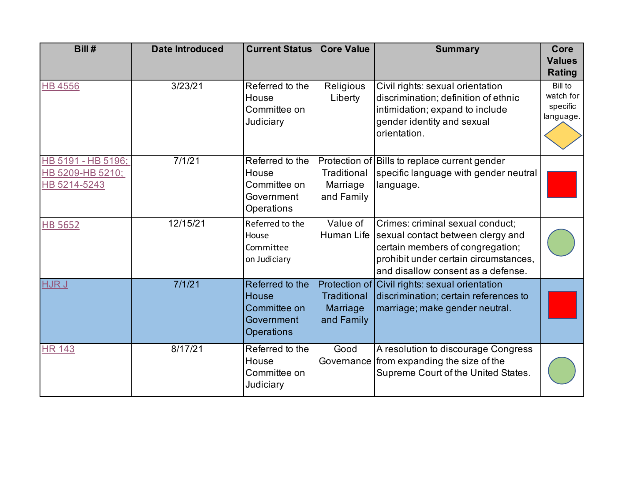| Bill#                                                  | <b>Date Introduced</b> | <b>Current Status</b>                                                       | <b>Core Value</b>                            | <b>Summary</b>                                                                                                                                                                           | Core<br><b>Values</b><br><b>Rating</b>        |
|--------------------------------------------------------|------------------------|-----------------------------------------------------------------------------|----------------------------------------------|------------------------------------------------------------------------------------------------------------------------------------------------------------------------------------------|-----------------------------------------------|
| <b>HB 4556</b>                                         | 3/23/21                | Referred to the<br>House<br>Committee on<br>Judiciary                       | Religious<br>Liberty                         | Civil rights: sexual orientation<br>discrimination; definition of ethnic<br>intimidation; expand to include<br>gender identity and sexual<br>orientation.                                | Bill to<br>watch for<br>specific<br>language. |
| HB 5191 - HB 5196;<br>HB 5209-HB 5210;<br>HB 5214-5243 | 7/1/21                 | Referred to the<br>House<br>Committee on<br>Government<br>Operations        | Traditional<br>Marriage<br>and Family        | Protection of Bills to replace current gender<br>specific language with gender neutral<br>language.                                                                                      |                                               |
| <b>HB 5652</b>                                         | 12/15/21               | Referred to the<br>House<br>Committee<br>on Judiciary                       | Value of<br>Human Life                       | Crimes: criminal sexual conduct;<br>sexual contact between clergy and<br>certain members of congregation;<br>prohibit under certain circumstances,<br>and disallow consent as a defense. |                                               |
| HJR J                                                  | 7/1/21                 | Referred to the<br><b>House</b><br>Committee on<br>Government<br>Operations | <b>Traditional</b><br>Marriage<br>and Family | Protection of Civil rights: sexual orientation<br>discrimination; certain references to<br>marriage; make gender neutral.                                                                |                                               |
| <b>HR 143</b>                                          | 8/17/21                | Referred to the<br>House<br>Committee on<br>Judiciary                       | Good                                         | A resolution to discourage Congress<br>Governance from expanding the size of the<br>Supreme Court of the United States.                                                                  |                                               |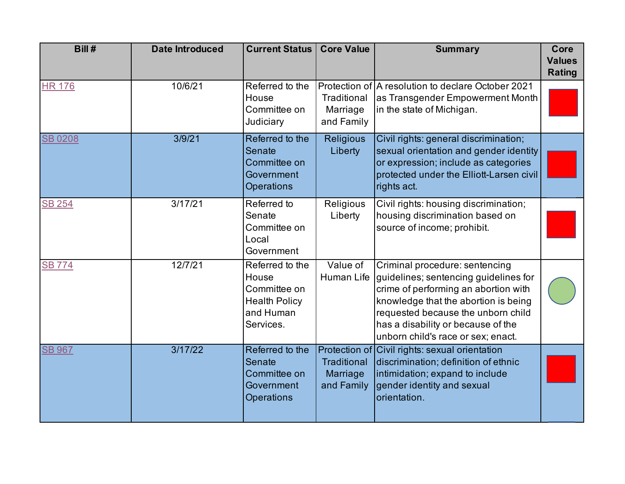| Bill#         | <b>Date Introduced</b> | <b>Current Status</b>                                                                      | <b>Core Value</b>                            | <b>Summary</b>                                                                                                                                                                                                                                                            | Core<br><b>Values</b><br><b>Rating</b> |
|---------------|------------------------|--------------------------------------------------------------------------------------------|----------------------------------------------|---------------------------------------------------------------------------------------------------------------------------------------------------------------------------------------------------------------------------------------------------------------------------|----------------------------------------|
| <b>HR 176</b> | 10/6/21                | Referred to the<br>House<br>Committee on<br>Judiciary                                      | Traditional<br>Marriage<br>and Family        | Protection of A resolution to declare October 2021<br>as Transgender Empowerment Month<br>in the state of Michigan.                                                                                                                                                       |                                        |
| <b>SB0208</b> | 3/9/21                 | Referred to the<br>Senate<br>Committee on<br>Government<br>Operations                      | <b>Religious</b><br>Liberty                  | Civil rights: general discrimination;<br>sexual orientation and gender identity<br>or expression; include as categories<br>protected under the Elliott-Larsen civil<br>rights act.                                                                                        |                                        |
| <b>SB 254</b> | 3/17/21                | Referred to<br>Senate<br>Committee on<br>Local<br>Government                               | Religious<br>Liberty                         | Civil rights: housing discrimination;<br>housing discrimination based on<br>source of income; prohibit.                                                                                                                                                                   |                                        |
| <b>SB 774</b> | 12/7/21                | Referred to the<br>House<br>Committee on<br><b>Health Policy</b><br>and Human<br>Services. | Value of<br>Human Life                       | Criminal procedure: sentencing<br>guidelines; sentencing guidelines for<br>crime of performing an abortion with<br>knowledge that the abortion is being<br>requested because the unborn child<br>has a disability or because of the<br>unborn child's race or sex; enact. |                                        |
| <b>SB 967</b> | 3/17/22                | Referred to the<br>Senate<br>Committee on<br>Government<br><b>Operations</b>               | <b>Traditional</b><br>Marriage<br>and Family | Protection of Civil rights: sexual orientation<br>discrimination; definition of ethnic<br>intimidation; expand to include<br>gender identity and sexual<br>orientation.                                                                                                   |                                        |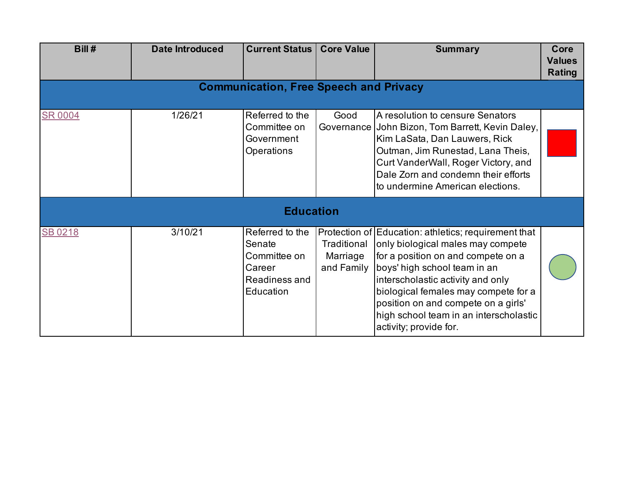| Bill#          | <b>Date Introduced</b>                        | <b>Current Status</b>                                                             | <b>Core Value</b>                     | <b>Summary</b>                                                                                                                                                                                                                                                                                                                                          | Core<br><b>Values</b><br><b>Rating</b> |  |  |  |  |
|----------------|-----------------------------------------------|-----------------------------------------------------------------------------------|---------------------------------------|---------------------------------------------------------------------------------------------------------------------------------------------------------------------------------------------------------------------------------------------------------------------------------------------------------------------------------------------------------|----------------------------------------|--|--|--|--|
|                | <b>Communication, Free Speech and Privacy</b> |                                                                                   |                                       |                                                                                                                                                                                                                                                                                                                                                         |                                        |  |  |  |  |
| <b>SR 0004</b> | 1/26/21                                       | Referred to the<br>Committee on<br>Government<br>Operations                       | Good<br>Governance                    | A resolution to censure Senators<br>John Bizon, Tom Barrett, Kevin Daley,<br>Kim LaSata, Dan Lauwers, Rick<br>Outman, Jim Runestad, Lana Theis,<br>Curt VanderWall, Roger Victory, and<br>Dale Zorn and condemn their efforts<br>to undermine American elections.                                                                                       |                                        |  |  |  |  |
|                |                                               | <b>Education</b>                                                                  |                                       |                                                                                                                                                                                                                                                                                                                                                         |                                        |  |  |  |  |
| SB 0218        | 3/10/21                                       | Referred to the<br>Senate<br>Committee on<br>Career<br>Readiness and<br>Education | Traditional<br>Marriage<br>and Family | Protection of Education: athletics; requirement that<br>only biological males may compete<br>for a position on and compete on a<br>boys' high school team in an<br>interscholastic activity and only<br>biological females may compete for a<br>position on and compete on a girls'<br>high school team in an interscholastic<br>activity; provide for. |                                        |  |  |  |  |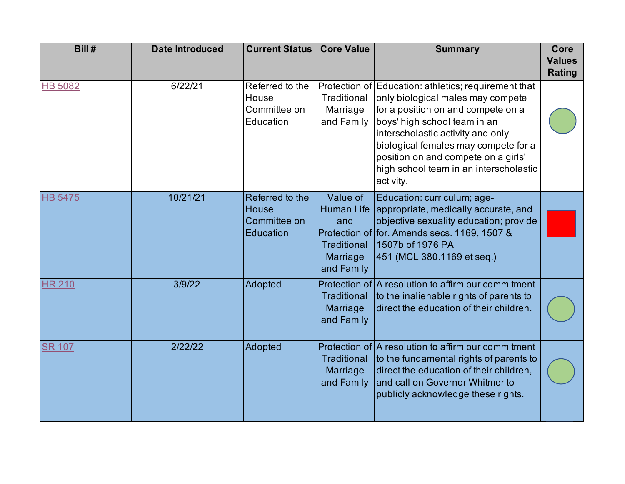| Bill#          | <b>Date Introduced</b> | <b>Current Status</b>                                 | <b>Core Value</b>                                               | <b>Summary</b>                                                                                                                                                                                                                                                                                                                             | Core<br><b>Values</b><br><b>Rating</b> |
|----------------|------------------------|-------------------------------------------------------|-----------------------------------------------------------------|--------------------------------------------------------------------------------------------------------------------------------------------------------------------------------------------------------------------------------------------------------------------------------------------------------------------------------------------|----------------------------------------|
| <b>HB 5082</b> | 6/22/21                | Referred to the<br>House<br>Committee on<br>Education | Traditional<br>Marriage<br>and Family                           | Protection of Education: athletics; requirement that<br>only biological males may compete<br>for a position on and compete on a<br>boys' high school team in an<br>interscholastic activity and only<br>biological females may compete for a<br>position on and compete on a girls'<br>high school team in an interscholastic<br>activity. |                                        |
| <b>HB 5475</b> | 10/21/21               | Referred to the<br>House<br>Committee on<br>Education | Value of<br>and<br><b>Traditional</b><br>Marriage<br>and Family | Education: curriculum; age-<br>Human Life appropriate, medically accurate, and<br>objective sexuality education; provide<br>Protection of for. Amends secs. 1169, 1507 &<br>1507b of 1976 PA<br>451 (MCL 380.1169 et seq.)                                                                                                                 |                                        |
| <b>HR 210</b>  | 3/9/22                 | Adopted                                               | <b>Traditional</b><br>Marriage<br>and Family                    | Protection of A resolution to affirm our commitment<br>to the inalienable rights of parents to<br>direct the education of their children.                                                                                                                                                                                                  |                                        |
| <b>SR 107</b>  | 2/22/22                | Adopted                                               | Traditional<br>Marriage<br>and Family                           | Protection of A resolution to affirm our commitment<br>to the fundamental rights of parents to<br>direct the education of their children,<br>and call on Governor Whitmer to<br>publicly acknowledge these rights.                                                                                                                         |                                        |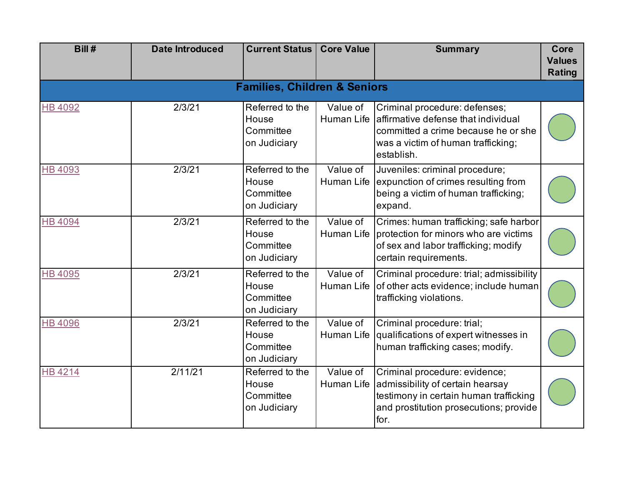| Bill #         | <b>Date Introduced</b> | <b>Current Status</b>                                 | <b>Core Value</b>                            | <b>Summary</b>                                                                                                                                                  | Core<br><b>Values</b><br><b>Rating</b> |
|----------------|------------------------|-------------------------------------------------------|----------------------------------------------|-----------------------------------------------------------------------------------------------------------------------------------------------------------------|----------------------------------------|
|                |                        | <b>Families, Children &amp; Seniors</b>               |                                              |                                                                                                                                                                 |                                        |
| <b>HB 4092</b> | 2/3/21                 | Referred to the<br>House<br>Committee<br>on Judiciary | Value of<br>Human Life                       | Criminal procedure: defenses;<br>affirmative defense that individual<br>committed a crime because he or she<br>was a victim of human trafficking;<br>establish. |                                        |
| <b>HB 4093</b> | 2/3/21                 | Referred to the<br>House<br>Committee<br>on Judiciary | Value of<br>Human Life                       | Juveniles: criminal procedure;<br>expunction of crimes resulting from<br>being a victim of human trafficking;<br>expand.                                        |                                        |
| <b>HB 4094</b> | 2/3/21                 | Referred to the<br>House<br>Committee<br>on Judiciary | Value of<br>Human Life                       | Crimes: human trafficking; safe harbor<br>protection for minors who are victims<br>of sex and labor trafficking; modify<br>certain requirements.                |                                        |
| <b>HB 4095</b> | 2/3/21                 | Referred to the<br>House<br>Committee<br>on Judiciary | Value of<br>Human Life                       | Criminal procedure: trial; admissibility<br>of other acts evidence; include human<br>trafficking violations.                                                    |                                        |
| <b>HB 4096</b> | 2/3/21                 | Referred to the<br>House<br>Committee<br>on Judiciary | $\overline{\mathsf{Value}}$ of<br>Human Life | Criminal procedure: trial;<br>qualifications of expert witnesses in<br>human trafficking cases; modify.                                                         |                                        |
| <b>HB4214</b>  | 2/11/21                | Referred to the<br>House<br>Committee<br>on Judiciary | Value of<br>Human Life                       | Criminal procedure: evidence;<br>admissibility of certain hearsay<br>testimony in certain human trafficking<br>and prostitution prosecutions; provide<br>for.   |                                        |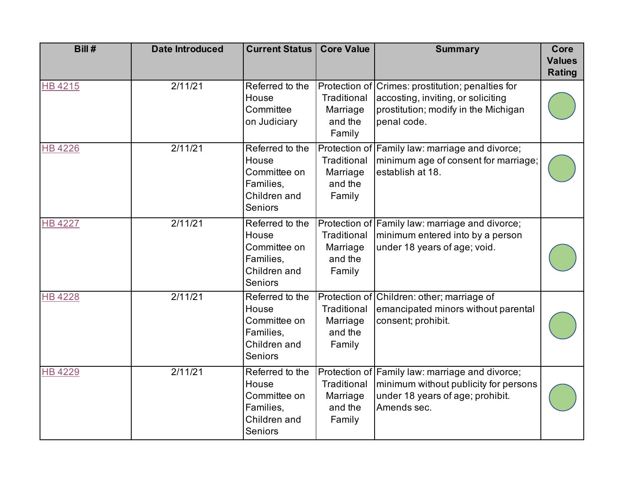| Bill#          | <b>Date Introduced</b> | <b>Current Status</b>                                                                   | <b>Core Value</b>                            | <b>Summary</b>                                                                                                                                 | Core<br><b>Values</b><br><b>Rating</b> |
|----------------|------------------------|-----------------------------------------------------------------------------------------|----------------------------------------------|------------------------------------------------------------------------------------------------------------------------------------------------|----------------------------------------|
| <b>HB4215</b>  | 2/11/21                | Referred to the<br>House<br>Committee<br>on Judiciary                                   | Traditional<br>Marriage<br>and the<br>Family | Protection of Crimes: prostitution; penalties for<br>accosting, inviting, or soliciting<br>prostitution; modify in the Michigan<br>penal code. |                                        |
| <b>HB4226</b>  | 2/11/21                | Referred to the<br>House<br>Committee on<br>Families,<br>Children and<br><b>Seniors</b> | Traditional<br>Marriage<br>and the<br>Family | Protection of Family law: marriage and divorce;<br>minimum age of consent for marriage;<br>establish at 18.                                    |                                        |
| <b>HB 4227</b> | 2/11/21                | Referred to the<br>House<br>Committee on<br>Families,<br>Children and<br><b>Seniors</b> | Traditional<br>Marriage<br>and the<br>Family | Protection of Family law: marriage and divorce;<br>minimum entered into by a person<br>under 18 years of age; void.                            |                                        |
| <b>HB4228</b>  | 2/11/21                | Referred to the<br>House<br>Committee on<br>Families,<br>Children and<br><b>Seniors</b> | Traditional<br>Marriage<br>and the<br>Family | Protection of Children: other; marriage of<br>emancipated minors without parental<br>consent; prohibit.                                        |                                        |
| <b>HB 4229</b> | 2/11/21                | Referred to the<br>House<br>Committee on<br>Families,<br>Children and<br><b>Seniors</b> | Traditional<br>Marriage<br>and the<br>Family | Protection of Family law: marriage and divorce;<br>minimum without publicity for persons<br>under 18 years of age; prohibit.<br>Amends sec.    |                                        |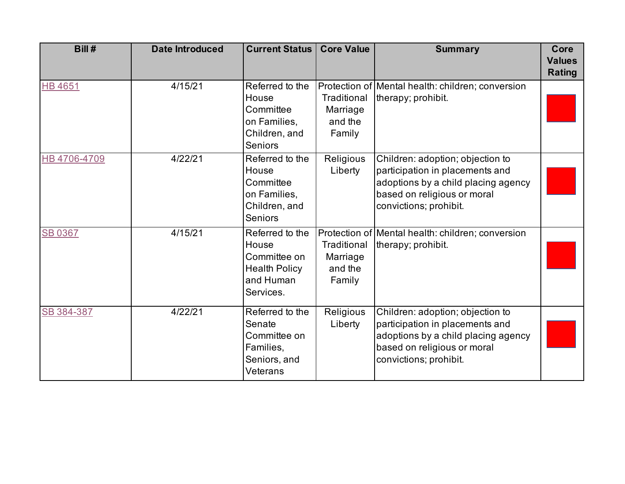| Bill #         | <b>Date Introduced</b> | <b>Current Status</b>                                                                      | <b>Core Value</b>                            | <b>Summary</b>                                                                                                                                                      | Core<br><b>Values</b><br><b>Rating</b> |
|----------------|------------------------|--------------------------------------------------------------------------------------------|----------------------------------------------|---------------------------------------------------------------------------------------------------------------------------------------------------------------------|----------------------------------------|
| <b>HB4651</b>  | 4/15/21                | Referred to the<br>House<br>Committee<br>on Families,<br>Children, and<br><b>Seniors</b>   | Traditional<br>Marriage<br>and the<br>Family | Protection of Mental health: children; conversion<br>therapy; prohibit.                                                                                             |                                        |
| HB 4706-4709   | 4/22/21                | Referred to the<br>House<br>Committee<br>on Families,<br>Children, and<br><b>Seniors</b>   | Religious<br>Liberty                         | Children: adoption; objection to<br>participation in placements and<br>adoptions by a child placing agency<br>based on religious or moral<br>convictions; prohibit. |                                        |
| <b>SB 0367</b> | 4/15/21                | Referred to the<br>House<br>Committee on<br><b>Health Policy</b><br>and Human<br>Services. | Traditional<br>Marriage<br>and the<br>Family | Protection of Mental health: children; conversion<br>therapy; prohibit.                                                                                             |                                        |
| SB 384-387     | 4/22/21                | Referred to the<br>Senate<br>Committee on<br>Families,<br>Seniors, and<br>Veterans         | Religious<br>Liberty                         | Children: adoption; objection to<br>participation in placements and<br>adoptions by a child placing agency<br>based on religious or moral<br>convictions; prohibit. |                                        |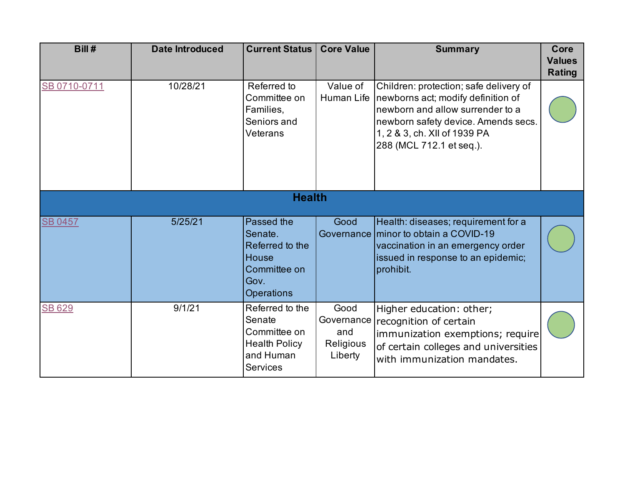| Bill#          | <b>Date Introduced</b> | <b>Current Status</b>                                                                                        | <b>Core Value</b>                                 | <b>Summary</b>                                                                                                                                                                                                      | Core<br><b>Values</b><br><b>Rating</b> |  |  |
|----------------|------------------------|--------------------------------------------------------------------------------------------------------------|---------------------------------------------------|---------------------------------------------------------------------------------------------------------------------------------------------------------------------------------------------------------------------|----------------------------------------|--|--|
| SB 0710-0711   | 10/28/21               | Referred to<br>Committee on<br>Families,<br>Seniors and<br>Veterans                                          | Value of<br>Human Life                            | Children: protection; safe delivery of<br>newborns act; modify definition of<br>newborn and allow surrender to a<br>newborn safety device. Amends secs.<br>1, 2 & 3, ch. XII of 1939 PA<br>288 (MCL 712.1 et seq.). |                                        |  |  |
| <b>Health</b>  |                        |                                                                                                              |                                                   |                                                                                                                                                                                                                     |                                        |  |  |
| <b>SB 0457</b> | 5/25/21                | <b>Passed the</b><br>Senate.<br>Referred to the<br><b>House</b><br>Committee on<br>Gov.<br><b>Operations</b> | Good                                              | Health: diseases; requirement for a<br>Governance minor to obtain a COVID-19<br>vaccination in an emergency order<br>issued in response to an epidemic;<br>prohibit.                                                |                                        |  |  |
| <b>SB 629</b>  | 9/1/21                 | Referred to the<br>Senate<br>Committee on<br><b>Health Policy</b><br>and Human<br><b>Services</b>            | Good<br>Governance<br>and<br>Religious<br>Liberty | Higher education: other;<br>recognition of certain<br>immunization exemptions; require<br>of certain colleges and universities<br>with immunization mandates.                                                       |                                        |  |  |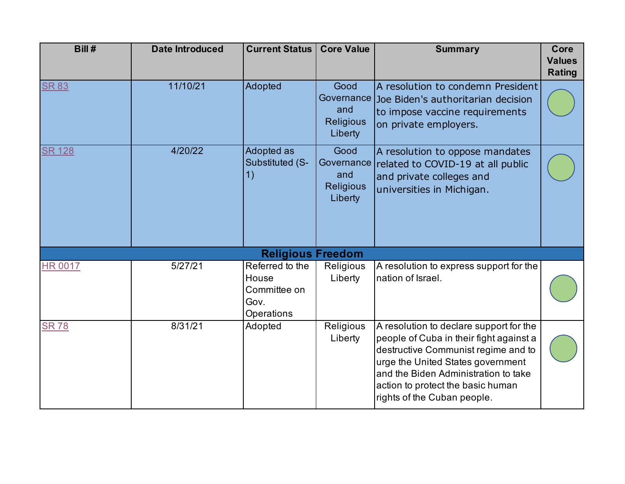| Bill#                    | <b>Date Introduced</b> | <b>Current Status</b>                                          | <b>Core Value</b>                                          | <b>Summary</b>                                                                                                                                                                                                                                                             | Core<br><b>Values</b><br><b>Rating</b> |  |  |
|--------------------------|------------------------|----------------------------------------------------------------|------------------------------------------------------------|----------------------------------------------------------------------------------------------------------------------------------------------------------------------------------------------------------------------------------------------------------------------------|----------------------------------------|--|--|
| <b>SR 83</b>             | 11/10/21               | Adopted                                                        | Good<br>Governance  <br>and<br><b>Religious</b><br>Liberty | A resolution to condemn President<br>Joe Biden's authoritarian decision<br>to impose vaccine requirements<br>on private employers.                                                                                                                                         |                                        |  |  |
| <b>SR 128</b>            | 4/20/22                | Adopted as<br>Substituted (S-<br>1)                            | Good<br>and<br><b>Religious</b><br>Liberty                 | A resolution to oppose mandates<br>Governance related to COVID-19 at all public<br>and private colleges and<br>universities in Michigan.                                                                                                                                   |                                        |  |  |
| <b>Religious Freedom</b> |                        |                                                                |                                                            |                                                                                                                                                                                                                                                                            |                                        |  |  |
| <b>HR 0017</b>           | 5/27/21                | Referred to the<br>House<br>Committee on<br>Gov.<br>Operations | Religious<br>Liberty                                       | A resolution to express support for the<br>nation of Israel.                                                                                                                                                                                                               |                                        |  |  |
| <b>SR78</b>              | 8/31/21                | Adopted                                                        | Religious<br>Liberty                                       | A resolution to declare support for the<br>people of Cuba in their fight against a<br>destructive Communist regime and to<br>urge the United States government<br>and the Biden Administration to take<br>action to protect the basic human<br>rights of the Cuban people. |                                        |  |  |